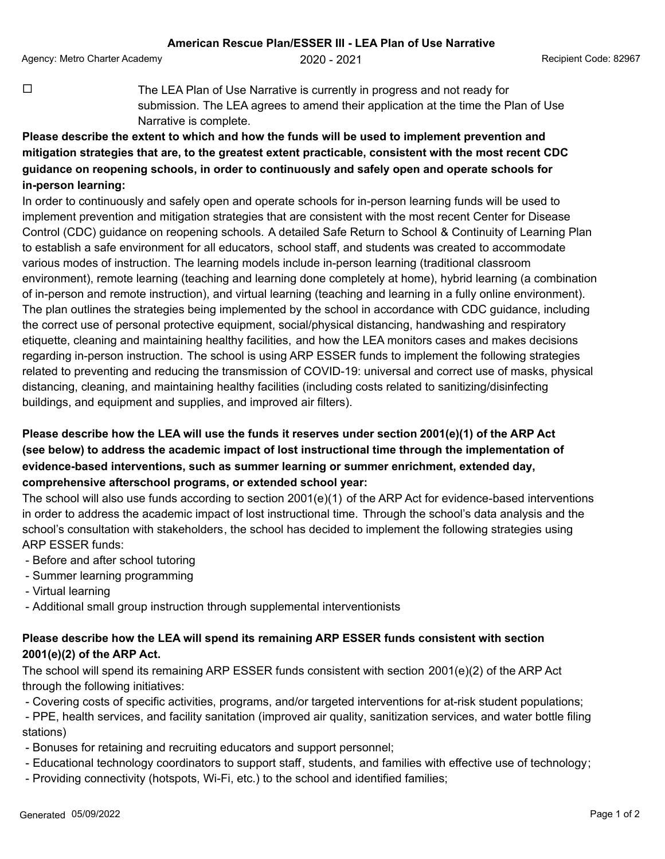Agency: Metro Charter Academy **2020 - 2021** Agency: Metro Code: 82967

 $\Box$  The LEA Plan of Use Narrative is currently in progress and not ready for submission. The LEA agrees to amend their application at the time the Plan of Use Narrative is complete.

## **Please describe the extent to which and how the funds will be used to implement prevention and mitigation strategies that are, to the greatest extent practicable, consistent with the most recent CDC guidance on reopening schools, in order to continuously and safely open and operate schools for in-person learning:**

In order to continuously and safely open and operate schools for in-person learning funds will be used to implement prevention and mitigation strategies that are consistent with the most recent Center for Disease Control (CDC) guidance on reopening schools. A detailed Safe Return to School & Continuity of Learning Plan to establish a safe environment for all educators, school staff, and students was created to accommodate various modes of instruction. The learning models include in-person learning (traditional classroom environment), remote learning (teaching and learning done completely at home), hybrid learning (a combination of in-person and remote instruction), and virtual learning (teaching and learning in a fully online environment). The plan outlines the strategies being implemented by the school in accordance with CDC guidance, including the correct use of personal protective equipment, social/physical distancing, handwashing and respiratory etiquette, cleaning and maintaining healthy facilities, and how the LEA monitors cases and makes decisions regarding in-person instruction. The school is using ARP ESSER funds to implement the following strategies related to preventing and reducing the transmission of COVID-19: universal and correct use of masks, physical distancing, cleaning, and maintaining healthy facilities (including costs related to sanitizing/disinfecting buildings, and equipment and supplies, and improved air filters).

## **Please describe how the LEA will use the funds it reserves under section 2001(e)(1) of the ARP Act (see below) to address the academic impact of lost instructional time through the implementation of evidence-based interventions, such as summer learning or summer enrichment, extended day, comprehensive afterschool programs, or extended school year:**

The school will also use funds according to section 2001(e)(1) of the ARP Act for evidence-based interventions in order to address the academic impact of lost instructional time. Through the school's data analysis and the school's consultation with stakeholders, the school has decided to implement the following strategies using ARP ESSER funds:

- Before and after school tutoring
- Summer learning programming
- Virtual learning
- Additional small group instruction through supplemental interventionists

## **Please describe how the LEA will spend its remaining ARP ESSER funds consistent with section 2001(e)(2) of the ARP Act.**

The school will spend its remaining ARP ESSER funds consistent with section 2001(e)(2) of the ARP Act through the following initiatives:

- Covering costs of specific activities, programs, and/or targeted interventions for at-risk student populations;

 - PPE, health services, and facility sanitation (improved air quality, sanitization services, and water bottle filing stations)

- Bonuses for retaining and recruiting educators and support personnel;
- Educational technology coordinators to support staff, students, and families with effective use of technology;
- Providing connectivity (hotspots, Wi-Fi, etc.) to the school and identified families;